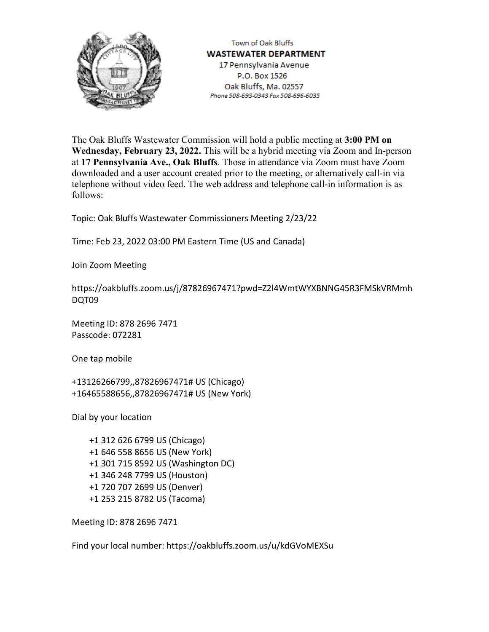

Town of Oak Bluffs **WASTEWATER DEPARTMENT** 17 Pennsylvania Avenue P.O. Box 1526 Oak Bluffs, Ma. 02557 Phone 508-693-0343 Fax 508-696-6035

The Oak Bluffs Wastewater Commission will hold a public meeting at **3:00 PM on Wednesday, February 23, 2022.** This will be a hybrid meeting via Zoom and In-person at **17 Pennsylvania Ave., Oak Bluffs**. Those in attendance via Zoom must have Zoom downloaded and a user account created prior to the meeting, or alternatively call-in via telephone without video feed. The web address and telephone call-in information is as follows:

Topic: Oak Bluffs Wastewater Commissioners Meeting 2/23/22

Time: Feb 23, 2022 03:00 PM Eastern Time (US and Canada)

Join Zoom Meeting

https://oakbluffs.zoom.us/j/87826967471?pwd=Z2l4WmtWYXBNNG45R3FMSkVRMmh DQT09

Meeting ID: 878 2696 7471 Passcode: 072281

One tap mobile

+13126266799,,87826967471# US (Chicago) +16465588656,,87826967471# US (New York)

Dial by your location

+1 312 626 6799 US (Chicago) +1 646 558 8656 US (New York) +1 301 715 8592 US (Washington DC) +1 346 248 7799 US (Houston) +1 720 707 2699 US (Denver) +1 253 215 8782 US (Tacoma)

Meeting ID: 878 2696 7471

Find your local number: https://oakbluffs.zoom.us/u/kdGVoMEXSu